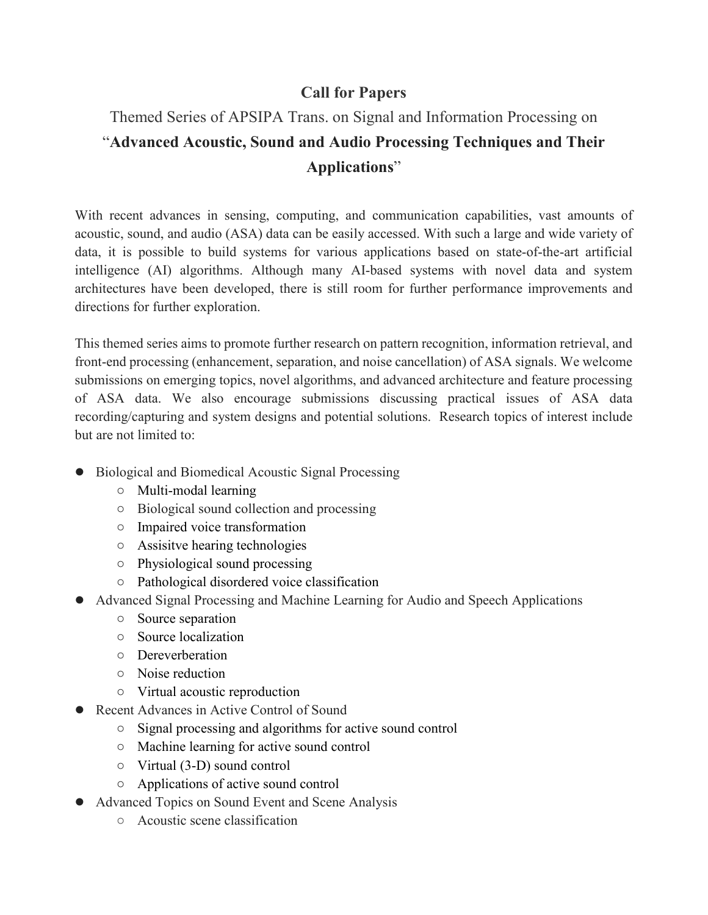## **Call for Papers**

## Themed Series of APSIPA Trans. on Signal and Information Processing on "**Advanced Acoustic, Sound and Audio Processing Techniques and Their Applications**"

With recent advances in sensing, computing, and communication capabilities, vast amounts of acoustic, sound, and audio (ASA) data can be easily accessed. With such a large and wide variety of data, it is possible to build systems for various applications based on state-of-the-art artificial intelligence (AI) algorithms. Although many AI-based systems with novel data and system architectures have been developed, there is still room for further performance improvements and directions for further exploration.

This themed series aims to promote further research on pattern recognition, information retrieval, and front-end processing (enhancement, separation, and noise cancellation) of ASA signals. We welcome submissions on emerging topics, novel algorithms, and advanced architecture and feature processing of ASA data. We also encourage submissions discussing practical issues of ASA data recording/capturing and system designs and potential solutions. Research topics of interest include but are not limited to:

- Biological and Biomedical Acoustic Signal Processing
	- Multi-modal learning
	- Biological sound collection and processing
	- Impaired voice transformation
	- Assisitve hearing technologies
	- Physiological sound processing
	- Pathological disordered voice classification
- Advanced Signal Processing and Machine Learning for Audio and Speech Applications
	- Source separation
	- Source localization
	- Dereverberation
	- Noise reduction
	- Virtual acoustic reproduction
- Recent Advances in Active Control of Sound
	- Signal processing and algorithms for active sound control
	- Machine learning for active sound control
	- Virtual (3-D) sound control
	- Applications of active sound control
- Advanced Topics on Sound Event and Scene Analysis
	- Acoustic scene classification